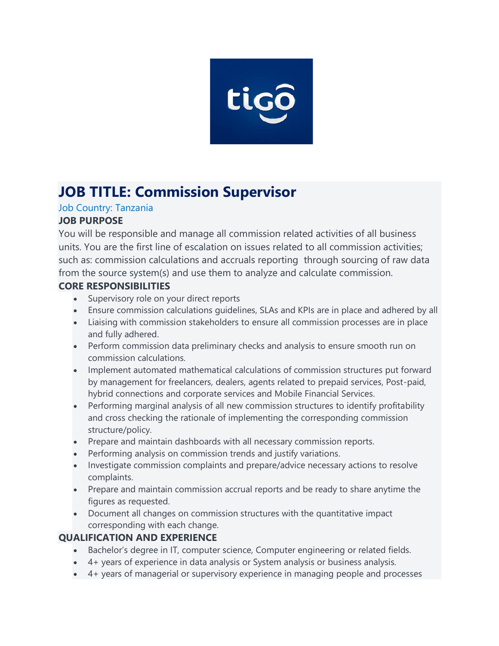

# **JOB TITLE: Commission Supervisor**

#### Job Country: Tanzania **JOB PURPOSE**

You will be responsible and manage all commission related activities of all business units. You are the first line of escalation on issues related to all commission activities; such as: commission calculations and accruals reporting through sourcing of raw data from the source system(s) and use them to analyze and calculate commission.

## **CORE RESPONSIBILITIES**

- Supervisory role on your direct reports
- Ensure commission calculations guidelines, SLAs and KPIs are in place and adhered by all
- Liaising with commission stakeholders to ensure all commission processes are in place and fully adhered.
- Perform commission data preliminary checks and analysis to ensure smooth run on commission calculations.
- Implement automated mathematical calculations of commission structures put forward by management for freelancers, dealers, agents related to prepaid services, Post-paid, hybrid connections and corporate services and Mobile Financial Services.
- Performing marginal analysis of all new commission structures to identify profitability and cross checking the rationale of implementing the corresponding commission structure/policy.
- Prepare and maintain dashboards with all necessary commission reports.
- Performing analysis on commission trends and justify variations.
- Investigate commission complaints and prepare/advice necessary actions to resolve complaints.
- Prepare and maintain commission accrual reports and be ready to share anytime the figures as requested.
- Document all changes on commission structures with the quantitative impact corresponding with each change.

### **QUALIFICATION AND EXPERIENCE**

- Bachelor's degree in IT, computer science, Computer engineering or related fields.
- 4+ years of experience in data analysis or System analysis or business analysis.
- 4+ years of managerial or supervisory experience in managing people and processes